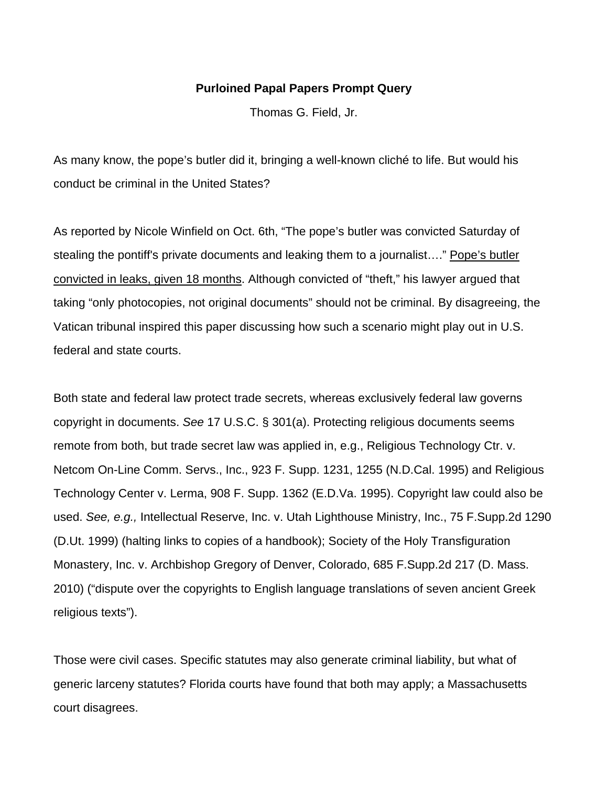## **Purloined Papal Papers Prompt Query**

Thomas G. Field, Jr.

As many know, the pope's butler did it, bringing a well-known cliché to life. But would his conduct be criminal in the United States?

As reported by Nicole Winfield on Oct. 6th, "The pope's butler was convicted Saturday of stealing the pontiff's private documents and leaking them to a journalist…." Pope's butler convicted in leaks, given 18 months. Although convicted of "theft," his lawyer argued that taking "only photocopies, not original documents" should not be criminal. By disagreeing, the Vatican tribunal inspired this paper discussing how such a scenario might play out in U.S. federal and state courts.

Both state and federal law protect trade secrets, whereas exclusively federal law governs copyright in documents. *See* 17 U.S.C. § 301(a). Protecting religious documents seems remote from both, but trade secret law was applied in, e.g., Religious Technology Ctr. v. Netcom On-Line Comm. Servs., Inc., 923 F. Supp. 1231, 1255 (N.D.Cal. 1995) and Religious Technology Center v. Lerma, 908 F. Supp. 1362 (E.D.Va. 1995). Copyright law could also be used. *See, e.g.,* Intellectual Reserve, Inc. v. Utah Lighthouse Ministry, Inc., 75 F.Supp.2d 1290 (D.Ut. 1999) (halting links to copies of a handbook); Society of the Holy Transfiguration Monastery, Inc. v. Archbishop Gregory of Denver, Colorado, 685 F.Supp.2d 217 (D. Mass. 2010) ("dispute over the copyrights to English language translations of seven ancient Greek religious texts").

Those were civil cases. Specific statutes may also generate criminal liability, but what of generic larceny statutes? Florida courts have found that both may apply; a Massachusetts court disagrees.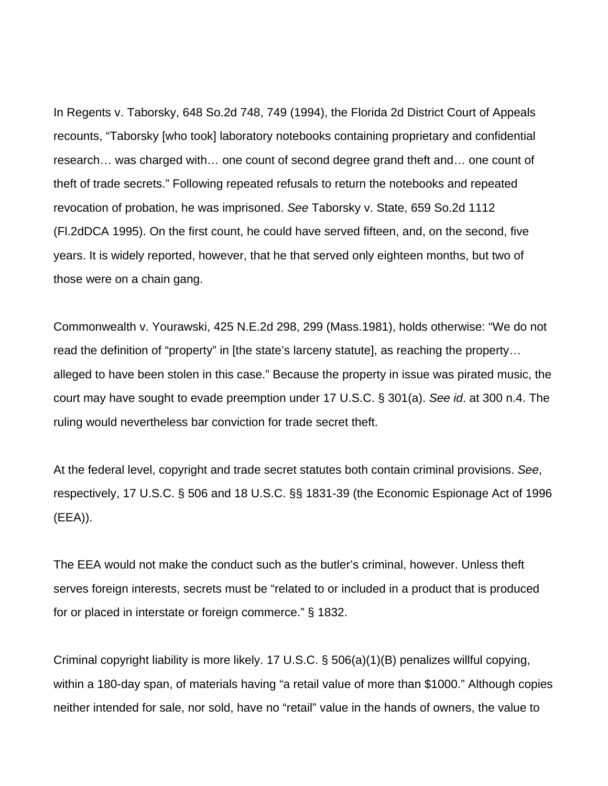In Regents v. Taborsky, 648 So.2d 748, 749 (1994), the Florida 2d District Court of Appeals recounts, "Taborsky [who took] laboratory notebooks containing proprietary and confidential research… was charged with… one count of second degree grand theft and… one count of theft of trade secrets." Following repeated refusals to return the notebooks and repeated revocation of probation, he was imprisoned. *See* Taborsky v. State, 659 So.2d 1112 (Fl.2dDCA 1995). On the first count, he could have served fifteen, and, on the second, five years. It is widely reported, however, that he that served only eighteen months, but two of those were on a chain gang.

Commonwealth v. Yourawski, 425 N.E.2d 298, 299 (Mass.1981), holds otherwise: "We do not read the definition of "property" in [the state's larceny statute], as reaching the property… alleged to have been stolen in this case." Because the property in issue was pirated music, the court may have sought to evade preemption under 17 U.S.C. § 301(a). *See id*. at 300 n.4. The ruling would nevertheless bar conviction for trade secret theft.

At the federal level, copyright and trade secret statutes both contain criminal provisions. *See*, respectively, 17 U.S.C. § 506 and 18 U.S.C. §§ 1831-39 (the Economic Espionage Act of 1996 (EEA)).

The EEA would not make the conduct such as the butler's criminal, however. Unless theft serves foreign interests, secrets must be "related to or included in a product that is produced for or placed in interstate or foreign commerce." § 1832.

Criminal copyright liability is more likely. 17 U.S.C. § 506(a)(1)(B) penalizes willful copying, within a 180-day span, of materials having "a retail value of more than \$1000." Although copies neither intended for sale, nor sold, have no "retail" value in the hands of owners, the value to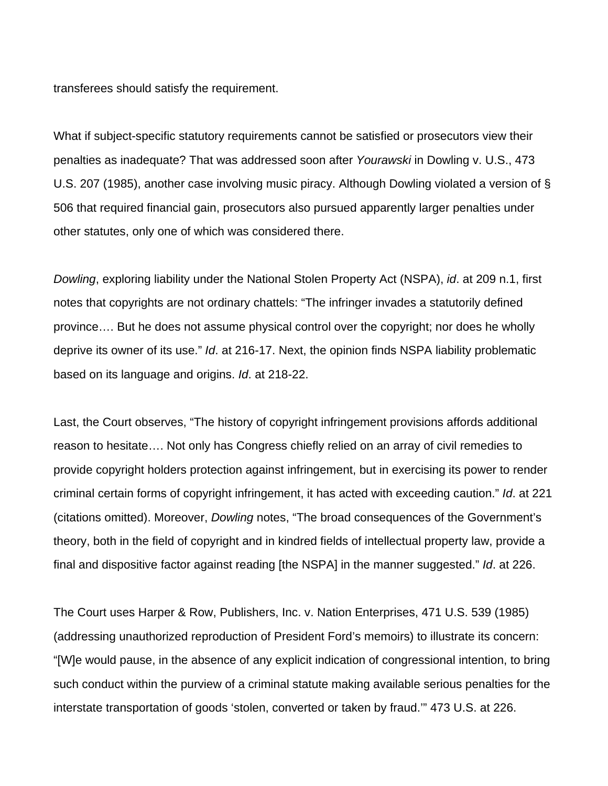transferees should satisfy the requirement.

What if subject-specific statutory requirements cannot be satisfied or prosecutors view their penalties as inadequate? That was addressed soon after *Yourawski* in Dowling v. U.S., 473 U.S. 207 (1985), another case involving music piracy. Although Dowling violated a version of § 506 that required financial gain, prosecutors also pursued apparently larger penalties under other statutes, only one of which was considered there.

*Dowling*, exploring liability under the National Stolen Property Act (NSPA), *id*. at 209 n.1, first notes that copyrights are not ordinary chattels: "The infringer invades a statutorily defined province…. But he does not assume physical control over the copyright; nor does he wholly deprive its owner of its use." *Id*. at 216-17. Next, the opinion finds NSPA liability problematic based on its language and origins. *Id*. at 218-22.

Last, the Court observes, "The history of copyright infringement provisions affords additional reason to hesitate…. Not only has Congress chiefly relied on an array of civil remedies to provide copyright holders protection against infringement, but in exercising its power to render criminal certain forms of copyright infringement, it has acted with exceeding caution." *Id*. at 221 (citations omitted). Moreover, *Dowling* notes, "The broad consequences of the Government's theory, both in the field of copyright and in kindred fields of intellectual property law, provide a final and dispositive factor against reading [the NSPA] in the manner suggested." *Id*. at 226.

The Court uses Harper & Row, Publishers, Inc. v. Nation Enterprises, 471 U.S. 539 (1985) (addressing unauthorized reproduction of President Ford's memoirs) to illustrate its concern: "[W]e would pause, in the absence of any explicit indication of congressional intention, to bring such conduct within the purview of a criminal statute making available serious penalties for the interstate transportation of goods 'stolen, converted or taken by fraud.'" 473 U.S. at 226.